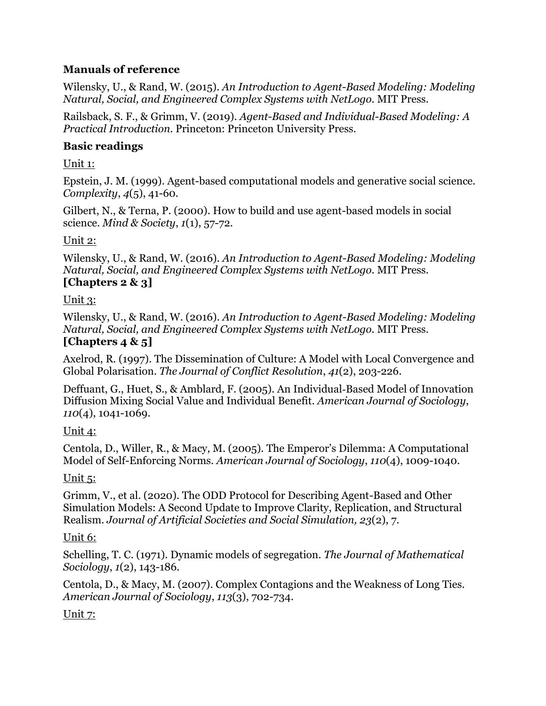#### **Manuals of reference**

Wilensky, U., & Rand, W. (2015). *An Introduction to Agent-Based Modeling: Modeling Natural, Social, and Engineered Complex Systems with NetLogo.* MIT Press.

Railsback, S. F., & Grimm, V. (2019). *Agent-Based and Individual-Based Modeling: A Practical Introduction*. Princeton: Princeton University Press.

#### **Basic readings**

Unit 1:

Epstein, J. M. (1999). Agent-based computational models and generative social science. *Complexity*, *4*(5), 41-60.

Gilbert, N., & Terna, P. (2000). How to build and use agent-based models in social science. *Mind & Society*, *1*(1), 57-72.

#### Unit 2:

Wilensky, U., & Rand, W. (2016). *An Introduction to Agent-Based Modeling: Modeling Natural, Social, and Engineered Complex Systems with NetLogo.* MIT Press. **[Chapters 2 & 3]**

# Unit 3:

Wilensky, U., & Rand, W. (2016). *An Introduction to Agent-Based Modeling: Modeling Natural, Social, and Engineered Complex Systems with NetLogo.* MIT Press.

# **[Chapters 4 & 5]**

Axelrod, R. (1997). The Dissemination of Culture: A Model with Local Convergence and Global Polarisation. *The Journal of Conflict Resolution*, *41*(2), 203-226.

Deffuant, G., Huet, S., & Amblard, F. (2005). An Individual‐Based Model of Innovation Diffusion Mixing Social Value and Individual Benefit. *American Journal of Sociology*, *110*(4), 1041-1069.

# Unit 4:

Centola, D., Willer, R., & Macy, M. (2005). The Emperor's Dilemma: A Computational Model of Self-Enforcing Norms. *American Journal of Sociology*, *110*(4), 1009-1040.

# Unit 5:

Grimm, V., et al. (2020). The ODD Protocol for Describing Agent-Based and Other Simulation Models: A Second Update to Improve Clarity, Replication, and Structural Realism. *Journal of Artificial Societies and Social Simulation, 23*(2), 7.

# Unit 6:

Schelling, T. C. (1971). Dynamic models of segregation. *The Journal of Mathematical Sociology*, *1*(2), 143-186.

Centola, D., & Macy, M. (2007). Complex Contagions and the Weakness of Long Ties. *American Journal of Sociology*, *113*(3), 702-734.

# Unit 7: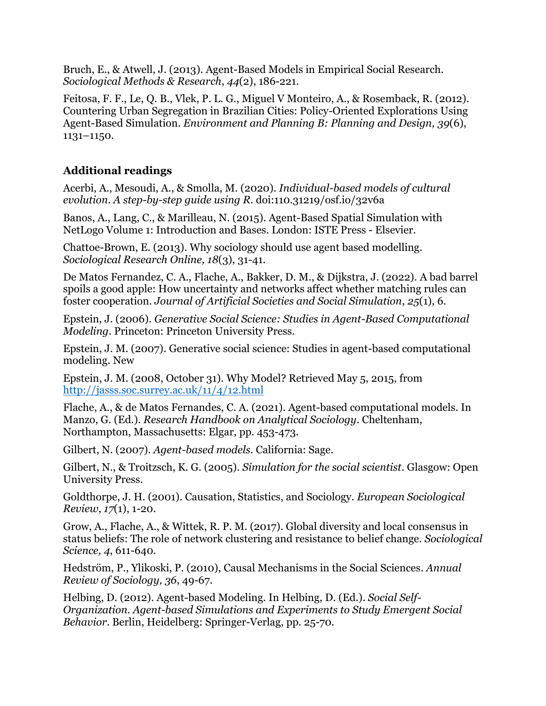Bruch, E., & Atwell, J. (2013). Agent-Based Models in Empirical Social Research. *Sociological Methods & Research*, *44*(2), 186-221.

Feitosa, F. F., Le, Q. B., Vlek, P. L. G., Miguel V Monteiro, A., & Rosemback, R. (2012). Countering Urban Segregation in Brazilian Cities: Policy-Oriented Explorations Using Agent-Based Simulation. *Environment and Planning B: Planning and Design, 39*(6), 1131–1150.

#### **Additional readings**

Acerbi, A., Mesoudi, A., & Smolla, M. (2020). *Individual-based models of cultural evolution. A step-by-step guide using R.* doi:110.31219/osf.io/32v6a

Banos, A., Lang, C., & Marilleau, N. (2015). Agent-Based Spatial Simulation with NetLogo Volume 1: Introduction and Bases. London: ISTE Press - Elsevier.

Chattoe-Brown, E. (2013). Why sociology should use agent based modelling. *Sociological Research Online, 18*(3), 31-41.

De Matos Fernandez, C. A., Flache, A., Bakker, D. M., & Dijkstra, J. (2022). A bad barrel spoils a good apple: How uncertainty and networks affect whether matching rules can foster cooperation. *Journal of Artificial Societies and Social Simulation*, *25*(1), 6.

Epstein, J. (2006). *Generative Social Science: Studies in Agent-Based Computational Modeling*. Princeton: Princeton University Press.

Epstein, J. M. (2007). Generative social science: Studies in agent-based computational modeling. New

Epstein, J. M. (2008, October 31). Why Model? Retrieved May 5, 2015, from <http://jasss.soc.surrey.ac.uk/11/4/12.html>

Flache, A., & de Matos Fernandes, C. A. (2021). Agent-based computational models. In Manzo, G. (Ed.). *Research Handbook on Analytical Sociology*. Cheltenham, Northampton, Massachusetts: Elgar, pp. 453-473.

Gilbert, N. (2007). *Agent-based models*. California: Sage.

Gilbert, N., & Troitzsch, K. G. (2005). *Simulation for the social scientist*. Glasgow: Open University Press.

Goldthorpe, J. H. (2001). Causation, Statistics, and Sociology. *European Sociological Review*, *17*(1), 1-20.

Grow, A., Flache, A., & Wittek, R. P. M. (2017). Global diversity and local consensus in status beliefs: The role of network clustering and resistance to belief change. *Sociological Science, 4*, 611-640.

Hedström, P., Ylikoski, P. (2010), Causal Mechanisms in the Social Sciences. *Annual Review of Sociology, 36*, 49-67.

Helbing, D. (2012). Agent-based Modeling. In Helbing, D. (Ed.). *Social Self-Organization. Agent-based Simulations and Experiments to Study Emergent Social Behavior*. Berlin, Heidelberg: Springer-Verlag, pp. 25-70.